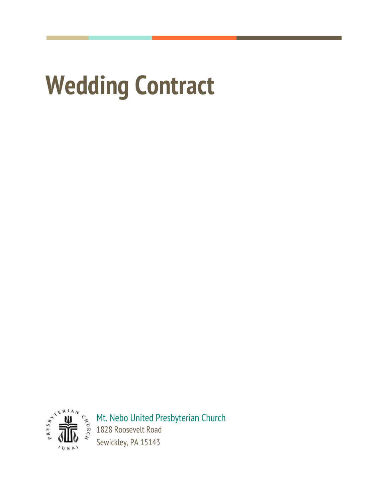# **Wedding Contract**



Mt. Nebo United Presbyterian Church 1828 Roosevelt Road Sewickley, PA 15143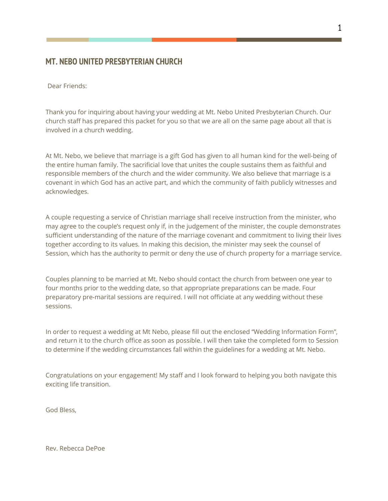Dear Friends:

Thank you for inquiring about having your wedding at Mt. Nebo United Presbyterian Church. Our church staff has prepared this packet for you so that we are all on the same page about all that is involved in a church wedding.

At Mt. Nebo, we believe that marriage is a gift God has given to all human kind for the well-being of the entire human family. The sacrificial love that unites the couple sustains them as faithful and responsible members of the church and the wider community. We also believe that marriage is a covenant in which God has an active part, and which the community of faith publicly witnesses and acknowledges.

A couple requesting a service of Christian marriage shall receive instruction from the minister, who may agree to the couple's request only if, in the judgement of the minister, the couple demonstrates sufficient understanding of the nature of the marriage covenant and commitment to living their lives together according to its values. In making this decision, the minister may seek the counsel of Session, which has the authority to permit or deny the use of church property for a marriage service.

Couples planning to be married at Mt. Nebo should contact the church from between one year to four months prior to the wedding date, so that appropriate preparations can be made. Four preparatory pre-marital sessions are required. I will not officiate at any wedding without these sessions.

In order to request a wedding at Mt Nebo, please fill out the enclosed "Wedding Information Form", and return it to the church office as soon as possible. I will then take the completed form to Session to determine if the wedding circumstances fall within the guidelines for a wedding at Mt. Nebo.

Congratulations on your engagement! My staff and I look forward to helping you both navigate this exciting life transition.

God Bless,

Rev. Rebecca DePoe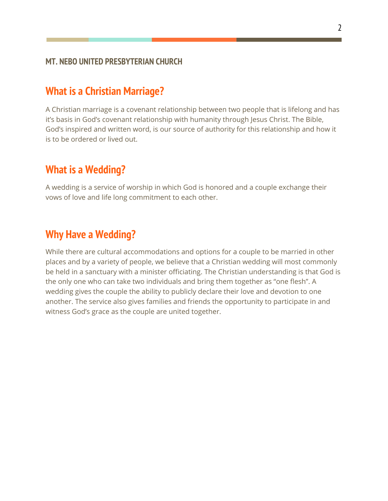## **What is a Christian Marriage?**

A Christian marriage is a covenant relationship between two people that is lifelong and has it's basis in God's covenant relationship with humanity through Jesus Christ. The Bible, God's inspired and written word, is our source of authority for this relationship and how it is to be ordered or lived out.

## **What is a Wedding?**

A wedding is a service of worship in which God is honored and a couple exchange their vows of love and life long commitment to each other.

## **Why Have a Wedding?**

While there are cultural accommodations and options for a couple to be married in other places and by a variety of people, we believe that a Christian wedding will most commonly be held in a sanctuary with a minister officiating. The Christian understanding is that God is the only one who can take two individuals and bring them together as "one flesh". A wedding gives the couple the ability to publicly declare their love and devotion to one another. The service also gives families and friends the opportunity to participate in and witness God's grace as the couple are united together.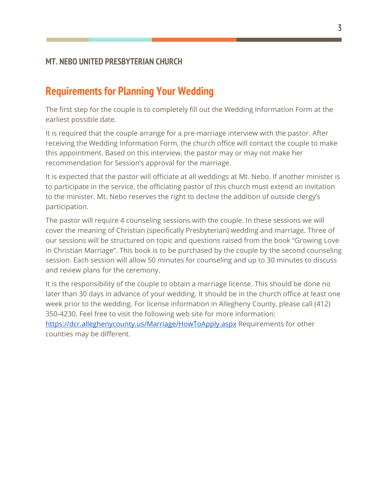# **Requirements for Planning Your Wedding**

The first step for the couple is to completely fill out the Wedding Information Form at the earliest possible date.

It is required that the couple arrange for a pre-marriage interview with the pastor. After receiving the Wedding Information Form, the church office will contact the couple to make this appointment. Based on this interview, the pastor may or may not make her recommendation for Session's approval for the marriage.

It is expected that the pastor will officiate at all weddings at Mt. Nebo. If another minister is to participate in the service, the officiating pastor of this church must extend an invitation to the minister. Mt. Nebo reserves the right to decline the addition of outside clergy's participation.

The pastor will require 4 counseling sessions with the couple. In these sessions we will cover the meaning of Christian (specifically Presbyterian) wedding and marriage. Three of our sessions will be structured on topic and questions raised from the book "Growing Love in Christian Marriage". This book is to be purchased by the couple by the second counseling session. Each session will allow 50 minutes for counseling and up to 30 minutes to discuss and review plans for the ceremony.

It is the responsibility of the couple to obtain a marriage license. This should be done no later than 30 days in advance of your wedding. It should be in the church office at least one week prior to the wedding. For license information in Allegheny County, please call (412) 350-4230. Feel free to visit the following web site for more information: <https://dcr.alleghenycounty.us/Marriage/HowToApply.aspx> Requirements for other counties may be different.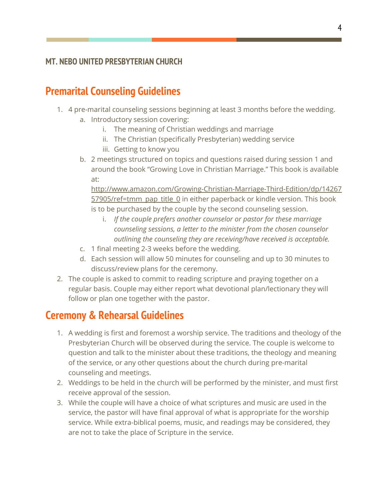# **Premarital Counseling Guidelines**

- 1. 4 pre-marital counseling sessions beginning at least 3 months before the wedding.
	- a. Introductory session covering:
		- i. The meaning of Christian weddings and marriage
		- ii. The Christian (specifically Presbyterian) wedding service
		- iii. Getting to know you
	- b. 2 meetings structured on topics and questions raised during session 1 and around the book "Growing Love in Christian Marriage." This book is available at:

[http://www.amazon.com/Growing-Christian-Marriage-Third-Edition/dp/14267](http://www.amazon.com/Growing-Christian-Marriage-Third-Edition/dp/1426757905/ref=tmm_pap_title_0) [57905/ref=tmm\\_pap\\_title\\_0](http://www.amazon.com/Growing-Christian-Marriage-Third-Edition/dp/1426757905/ref=tmm_pap_title_0) in either paperback or kindle version. This book is to be purchased by the couple by the second counseling session.

- i. *If the couple prefers another counselor or pastor for these marriage counseling sessions, a letter to the minister from the chosen counselor outlining the counseling they are receiving/have received is acceptable.*
- c. 1 final meeting 2-3 weeks before the wedding.
- d. Each session will allow 50 minutes for counseling and up to 30 minutes to discuss/review plans for the ceremony.
- 2. The couple is asked to commit to reading scripture and praying together on a regular basis. Couple may either report what devotional plan/lectionary they will follow or plan one together with the pastor.

# **Ceremony & Rehearsal Guidelines**

- 1. A wedding is first and foremost a worship service. The traditions and theology of the Presbyterian Church will be observed during the service. The couple is welcome to question and talk to the minister about these traditions, the theology and meaning of the service, or any other questions about the church during pre-marital counseling and meetings.
- 2. Weddings to be held in the church will be performed by the minister, and must first receive approval of the session.
- 3. While the couple will have a choice of what scriptures and music are used in the service, the pastor will have final approval of what is appropriate for the worship service. While extra-biblical poems, music, and readings may be considered, they are not to take the place of Scripture in the service.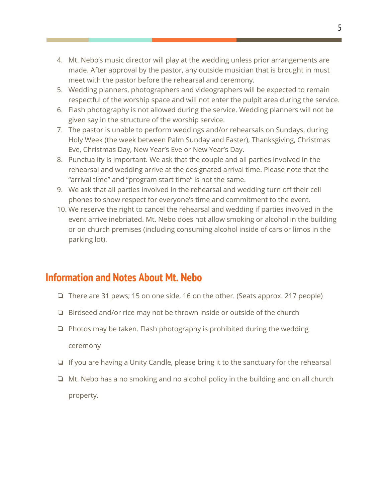- 4. Mt. Nebo's music director will play at the wedding unless prior arrangements are made. After approval by the pastor, any outside musician that is brought in must meet with the pastor before the rehearsal and ceremony.
- 5. Wedding planners, photographers and videographers will be expected to remain respectful of the worship space and will not enter the pulpit area during the service.
- 6. Flash photography is not allowed during the service. Wedding planners will not be given say in the structure of the worship service.
- 7. The pastor is unable to perform weddings and/or rehearsals on Sundays, during Holy Week (the week between Palm Sunday and Easter), Thanksgiving, Christmas Eve, Christmas Day, New Year's Eve or New Year's Day.
- 8. Punctuality is important. We ask that the couple and all parties involved in the rehearsal and wedding arrive at the designated arrival time. Please note that the "arrival time" and "program start time" is not the same.
- 9. We ask that all parties involved in the rehearsal and wedding turn off their cell phones to show respect for everyone's time and commitment to the event.
- 10. We reserve the right to cancel the rehearsal and wedding if parties involved in the event arrive inebriated. Mt. Nebo does not allow smoking or alcohol in the building or on church premises (including consuming alcohol inside of cars or limos in the parking lot).

# **Information and Notes About Mt. Nebo**

- ❏ There are 31 pews; 15 on one side, 16 on the other. (Seats approx. 217 people)
- ❏ Birdseed and/or rice may not be thrown inside or outside of the church
- ❏ Photos may be taken. Flash photography is prohibited during the wedding ceremony
- ❏ If you are having a Unity Candle, please bring it to the sanctuary for the rehearsal
- ❏ Mt. Nebo has a no smoking and no alcohol policy in the building and on all church property.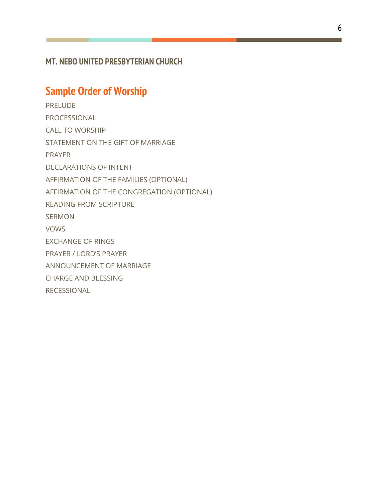# **Sample Order of Worship**

PRELUDE PROCESSIONAL CALL TO WORSHIP STATEMENT ON THE GIFT OF MARRIAGE PRAYER DECLARATIONS OF INTENT AFFIRMATION OF THE FAMILIES (OPTIONAL) AFFIRMATION OF THE CONGREGATION (OPTIONAL) READING FROM SCRIPTURE SERMON VOWS EXCHANGE OF RINGS PRAYER / LORD'S PRAYER ANNOUNCEMENT OF MARRIAGE CHARGE AND BLESSING RECESSIONAL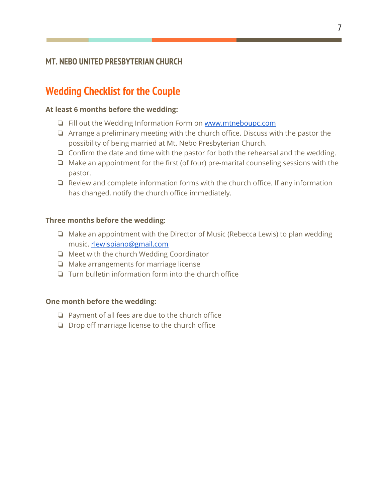# **Wedding Checklist for the Couple**

#### **At least 6 months before the wedding:**

- ❏ Fill out the Wedding Information Form on [www.mtneboupc.com](http://www.mtneboupc.com/)
- ❏ Arrange a preliminary meeting with the church office. Discuss with the pastor the possibility of being married at Mt. Nebo Presbyterian Church.
- ❏ Confirm the date and time with the pastor for both the rehearsal and the wedding.
- ❏ Make an appointment for the first (of four) pre-marital counseling sessions with the pastor.
- ❏ Review and complete information forms with the church office. If any information has changed, notify the church office immediately.

#### **Three months before the wedding:**

- ❏ Make an appointment with the Director of Music (Rebecca Lewis) to plan wedding music. [rlewispiano@gmail.com](mailto:rlewispiano@gmail.com)
- ❏ Meet with the church Wedding Coordinator
- ❏ Make arrangements for marriage license
- ❏ Turn bulletin information form into the church office

#### **One month before the wedding:**

- ❏ Payment of all fees are due to the church office
- ❏ Drop off marriage license to the church office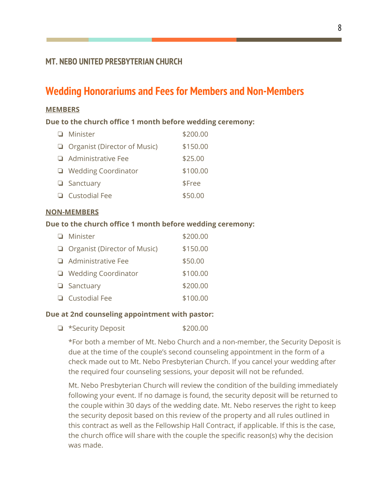# **Wedding Honorariums and Fees for Members and Non-Members**

#### **MEMBERS**

#### **Due to the church office 1 month before wedding ceremony:**

| <b>Q</b> Minister            | \$200.00 |
|------------------------------|----------|
| Organist (Director of Music) | \$150.00 |
| $\Box$ Administrative Fee    | \$25.00  |
| $\Box$ Wedding Coordinator   | \$100.00 |
| $\Box$ Sanctuary             | \$Free   |
| <b>Q</b> Custodial Fee       | \$50.00  |

#### **NON-MEMBERS**

#### **Due to the church office 1 month before wedding ceremony:**

| <b>D</b> Minister                   | \$200.00 |
|-------------------------------------|----------|
| $\Box$ Organist (Director of Music) | \$150.00 |
| $\Box$ Administrative Fee           | \$50.00  |
| $\Box$ Wedding Coordinator          | \$100.00 |
| $\Box$ Sanctuary                    | \$200.00 |
| $\Box$ Custodial Fee                | \$100.00 |

#### **Due at 2nd counseling appointment with pastor:**

❏ \*Security Deposit \$200.00

\*For both a member of Mt. Nebo Church and a non-member, the Security Deposit is due at the time of the couple's second counseling appointment in the form of a check made out to Mt. Nebo Presbyterian Church. If you cancel your wedding after the required four counseling sessions, your deposit will not be refunded.

Mt. Nebo Presbyterian Church will review the condition of the building immediately following your event. If no damage is found, the security deposit will be returned to the couple within 30 days of the wedding date. Mt. Nebo reserves the right to keep the security deposit based on this review of the property and all rules outlined in this contract as well as the Fellowship Hall Contract, if applicable. If this is the case, the church office will share with the couple the specific reason(s) why the decision was made.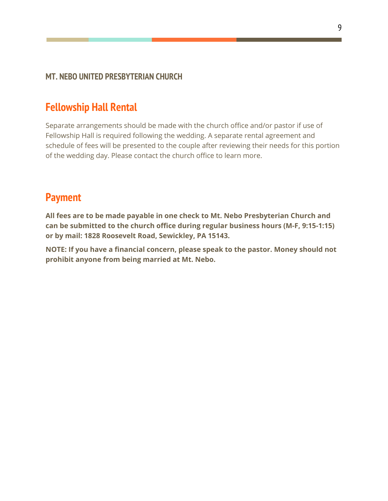# **Fellowship Hall Rental**

Separate arrangements should be made with the church office and/or pastor if use of Fellowship Hall is required following the wedding. A separate rental agreement and schedule of fees will be presented to the couple after reviewing their needs for this portion of the wedding day. Please contact the church office to learn more.

## **Payment**

**All fees are to be made payable in one check to Mt. Nebo Presbyterian Church and can be submitted to the church office during regular business hours (M-F, 9:15-1:15) or by mail: 1828 Roosevelt Road, Sewickley, PA 15143.**

**NOTE: If you have a financial concern, please speak to the pastor. Money should not prohibit anyone from being married at Mt. Nebo.**